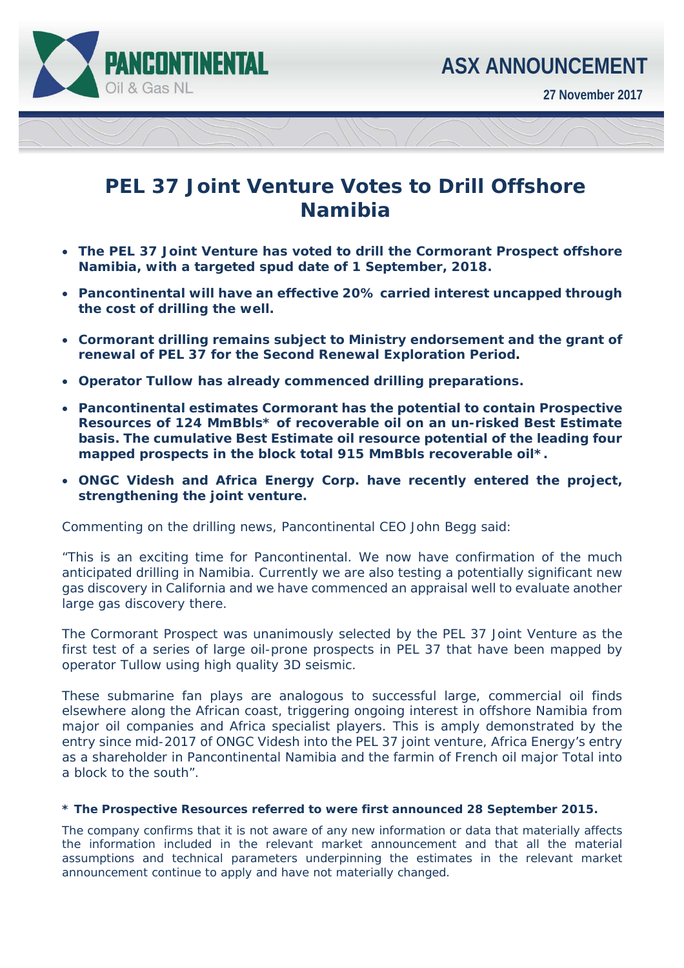

**27 November 2017** 

# ī

# **PEL 37 Joint Venture Votes to Drill Offshore Namibia**

- **The PEL 37 Joint Venture has voted to drill the Cormorant Prospect offshore Namibia, with a targeted spud date of 1 September, 2018.**
- **Pancontinental will have an effective 20% carried interest uncapped through the cost of drilling the well.**
- **Cormorant drilling remains subject to Ministry endorsement and the grant of renewal of PEL 37 for the Second Renewal Exploration Period.**
- **Operator Tullow has already commenced drilling preparations.**
- **Pancontinental estimates Cormorant has the potential to contain Prospective Resources of 124 MmBbls\* of recoverable oil on an un-risked Best Estimate basis. The cumulative Best Estimate oil resource potential of the leading four mapped prospects in the block total 915 MmBbls recoverable oil\*.**
- **ONGC Videsh and Africa Energy Corp. have recently entered the project, strengthening the joint venture.**

Commenting on the drilling news, Pancontinental CEO John Begg said:

*"This is an exciting time for Pancontinental. We now have confirmation of the much anticipated drilling in Namibia. Currently we are also testing a potentially significant new gas discovery in California and we have commenced an appraisal well to evaluate another large gas discovery there.* 

*The Cormorant Prospect was unanimously selected by the PEL 37 Joint Venture as the first test of a series of large oil-prone prospects in PEL 37 that have been mapped by operator Tullow using high quality 3D seismic.* 

*These submarine fan plays are analogous to successful large, commercial oil finds elsewhere along the African coast, triggering ongoing interest in offshore Namibia from major oil companies and Africa specialist players. This is amply demonstrated by the entry since mid-2017 of ONGC Videsh into the PEL 37 joint venture, Africa Energy's entry as a shareholder in Pancontinental Namibia and the farmin of French oil major Total into a block to the south".* 

#### *\* The Prospective Resources referred to were first announced 28 September 2015.*

*The company confirms that it is not aware of any new information or data that materially affects the information included in the relevant market announcement and that all the material assumptions and technical parameters underpinning the estimates in the relevant market announcement continue to apply and have not materially changed.*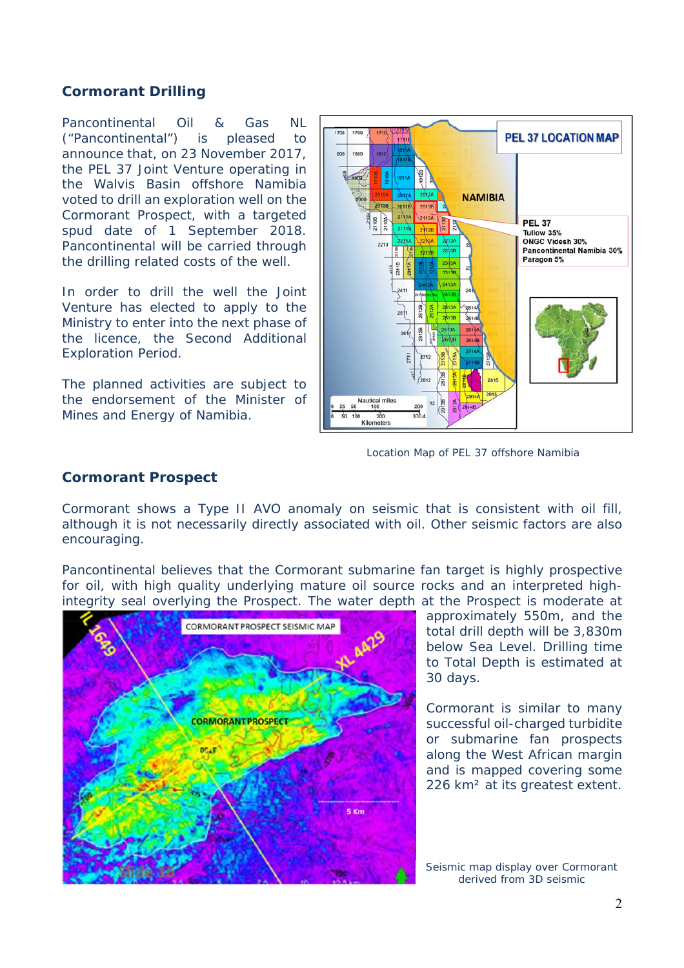### **Cormorant Drilling**

Pancontinental Oil & Gas NL ("Pancontinental") is pleased to announce that, on 23 November 2017, the PEL 37 Joint Venture operating in the Walvis Basin offshore Namibia voted to drill an exploration well on the Cormorant Prospect, with a targeted spud date of 1 September 2018. Pancontinental will be carried through the drilling related costs of the well.

In order to drill the well the Joint Venture has elected to apply to the Ministry to enter into the next phase of the licence, the Second Additional Exploration Period.

The planned activities are subject to the endorsement of the Minister of Mines and Energy of Namibia.



Location Map of PEL 37 offshore Namibia

#### **Cormorant Prospect**

Cormorant shows a Type II AVO anomaly on seismic that is consistent with oil fill, although it is not necessarily directly associated with oil. Other seismic factors are also encouraging.

Pancontinental believes that the Cormorant submarine fan target is highly prospective for oil, with high quality underlying mature oil source rocks and an interpreted highintegrity seal overlying the Prospect. The water depth at the Prospect is moderate at



approximately 550m, and the total drill depth will be 3,830m below Sea Level. Drilling time to Total Depth is estimated at 30 days.

Cormorant is similar to many successful oil-charged turbidite or submarine fan prospects along the West African margin and is mapped covering some 226 km<sup>2</sup> at its greatest extent.

Seismic map display over Cormorant derived from 3D seismic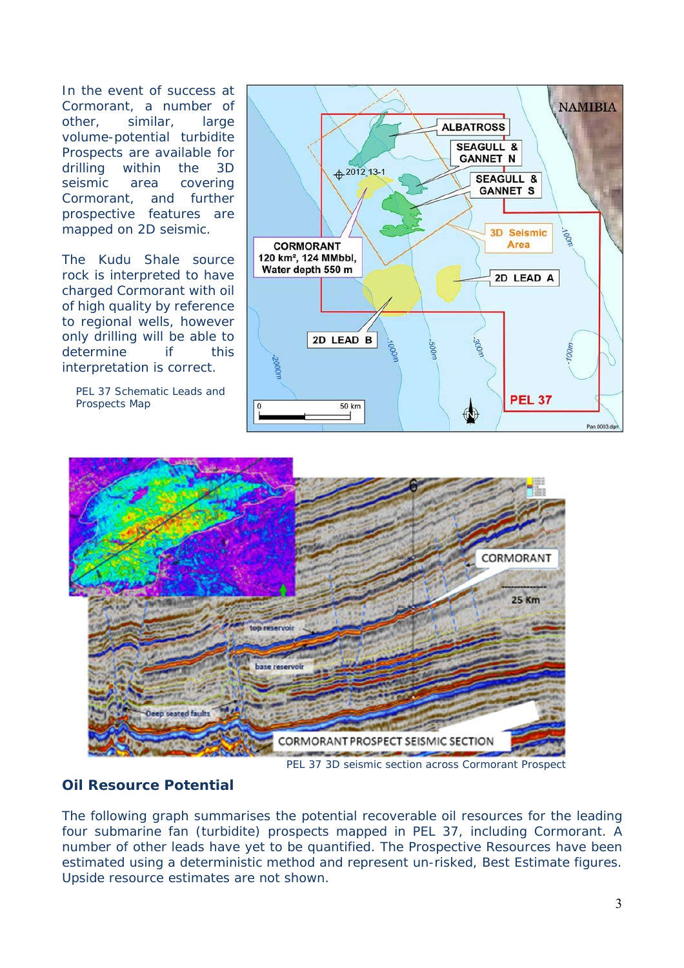In the event of success at Cormorant, a number of other, similar, large volume-potential turbidite Prospects are available for drilling within the 3D seismic area covering Cormorant, and further prospective features are mapped on 2D seismic.

The Kudu Shale source rock is interpreted to have charged Cormorant with oil of high quality by reference to regional wells, however only drilling will be able to determine if this interpretation is correct.

PEL 37 Schematic Leads and Prospects Map





PEL 37 3D seismic section across Cormorant Prospect

# **Oil Resource Potential**

The following graph summarises the potential recoverable oil resources for the leading four submarine fan (turbidite) prospects mapped in PEL 37, including Cormorant. A number of other leads have yet to be quantified. The Prospective Resources have been estimated using a deterministic method and represent un-risked, Best Estimate figures. Upside resource estimates are not shown.